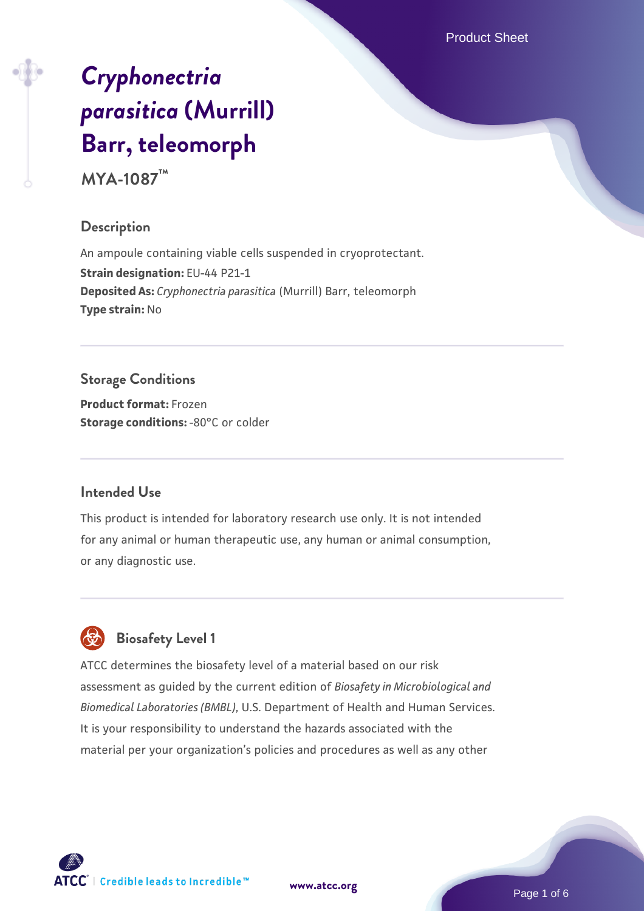Product Sheet

# *[Cryphonectria](https://www.atcc.org/products/mya-1087) [parasitica](https://www.atcc.org/products/mya-1087)* **[\(Murrill\)](https://www.atcc.org/products/mya-1087) [Barr, teleomorph](https://www.atcc.org/products/mya-1087)**

**MYA-1087™**

#### **Description**

An ampoule containing viable cells suspended in cryoprotectant. **Strain designation:** EU-44 P21-1 **Deposited As:** *Cryphonectria parasitica* (Murrill) Barr, teleomorph **Type strain:** No

## **Storage Conditions**

**Product format:** Frozen **Storage conditions: -80°C** or colder

## **Intended Use**

This product is intended for laboratory research use only. It is not intended for any animal or human therapeutic use, any human or animal consumption, or any diagnostic use.



# **Biosafety Level 1**

ATCC determines the biosafety level of a material based on our risk assessment as guided by the current edition of *Biosafety in Microbiological and Biomedical Laboratories (BMBL)*, U.S. Department of Health and Human Services. It is your responsibility to understand the hazards associated with the material per your organization's policies and procedures as well as any other

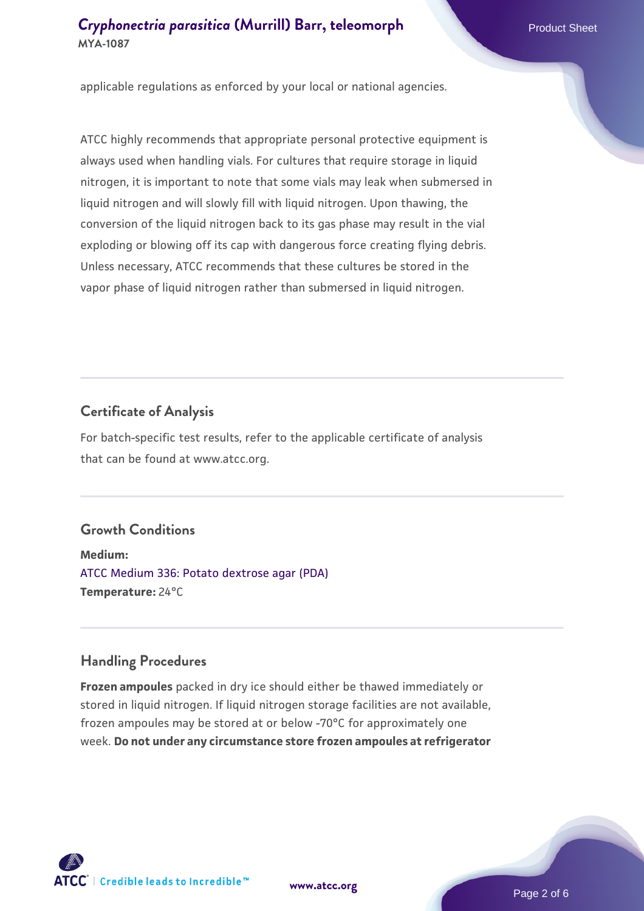applicable regulations as enforced by your local or national agencies.

ATCC highly recommends that appropriate personal protective equipment is always used when handling vials. For cultures that require storage in liquid nitrogen, it is important to note that some vials may leak when submersed in liquid nitrogen and will slowly fill with liquid nitrogen. Upon thawing, the conversion of the liquid nitrogen back to its gas phase may result in the vial exploding or blowing off its cap with dangerous force creating flying debris. Unless necessary, ATCC recommends that these cultures be stored in the vapor phase of liquid nitrogen rather than submersed in liquid nitrogen.

#### **Certificate of Analysis**

For batch-specific test results, refer to the applicable certificate of analysis that can be found at www.atcc.org.

## **Growth Conditions**

**Medium:**  [ATCC Medium 336: Potato dextrose agar \(PDA\)](https://www.atcc.org/-/media/product-assets/documents/microbial-media-formulations/3/3/6/atcc-medium-336.pdf?rev=d9160ad44d934cd8b65175461abbf3b9) **Temperature:** 24°C

#### **Handling Procedures**

**Frozen ampoules** packed in dry ice should either be thawed immediately or stored in liquid nitrogen. If liquid nitrogen storage facilities are not available, frozen ampoules may be stored at or below -70°C for approximately one week. **Do not under any circumstance store frozen ampoules at refrigerator**



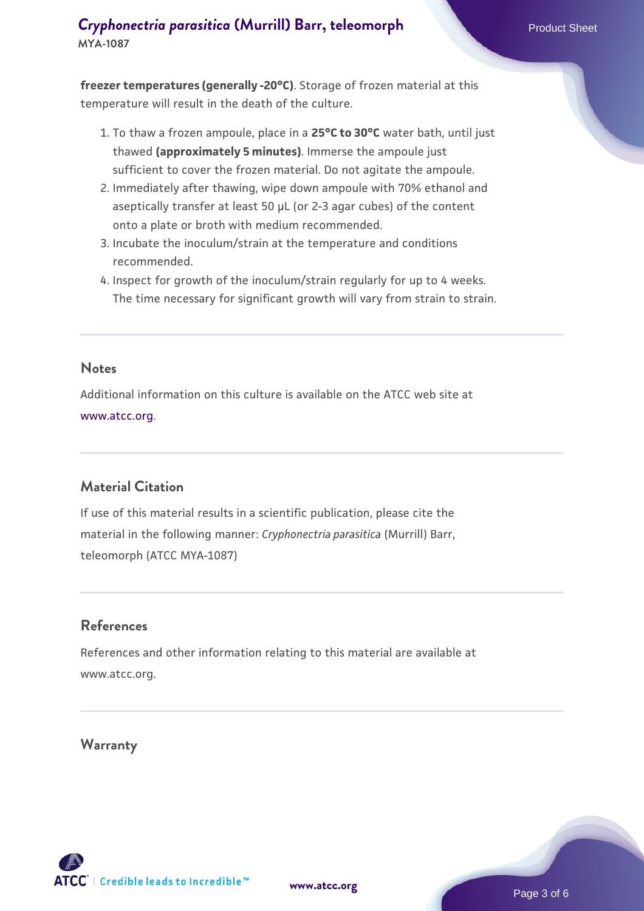**freezer temperatures (generally -20°C)**. Storage of frozen material at this temperature will result in the death of the culture.

- 1. To thaw a frozen ampoule, place in a **25°C to 30°C** water bath, until just thawed **(approximately 5 minutes)**. Immerse the ampoule just sufficient to cover the frozen material. Do not agitate the ampoule.
- 2. Immediately after thawing, wipe down ampoule with 70% ethanol and aseptically transfer at least 50 µL (or 2-3 agar cubes) of the content onto a plate or broth with medium recommended.
- 3. Incubate the inoculum/strain at the temperature and conditions recommended.
- 4. Inspect for growth of the inoculum/strain regularly for up to 4 weeks. The time necessary for significant growth will vary from strain to strain.

#### **Notes**

Additional information on this culture is available on the ATCC web site at [www.atcc.org.](http://www.atcc.org/)

## **Material Citation**

If use of this material results in a scientific publication, please cite the material in the following manner: *Cryphonectria parasitica* (Murrill) Barr, teleomorph (ATCC MYA-1087)

#### **References**

References and other information relating to this material are available at www.atcc.org.

#### **Warranty**



Page 3 of 6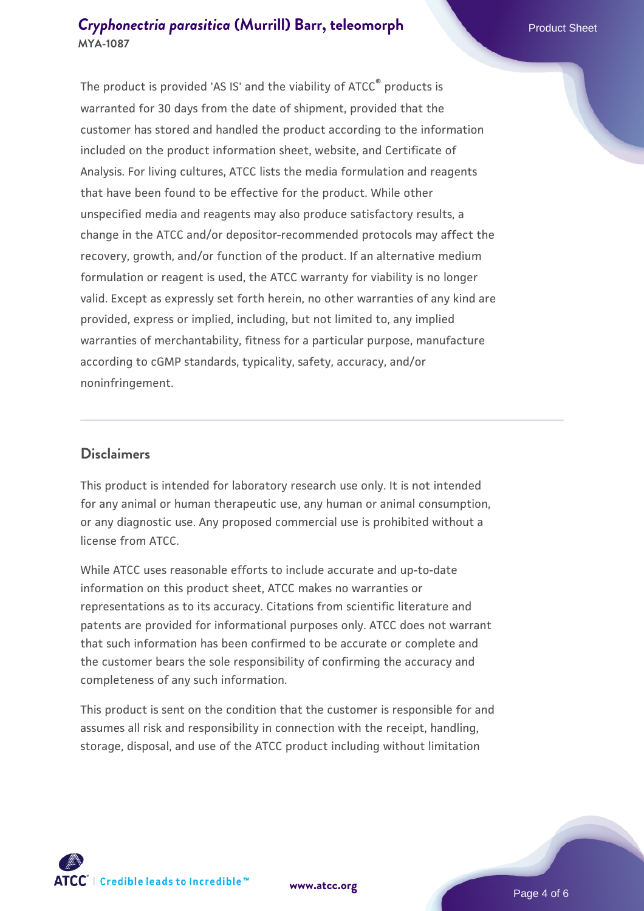The product is provided 'AS IS' and the viability of ATCC® products is warranted for 30 days from the date of shipment, provided that the customer has stored and handled the product according to the information included on the product information sheet, website, and Certificate of Analysis. For living cultures, ATCC lists the media formulation and reagents that have been found to be effective for the product. While other unspecified media and reagents may also produce satisfactory results, a change in the ATCC and/or depositor-recommended protocols may affect the recovery, growth, and/or function of the product. If an alternative medium formulation or reagent is used, the ATCC warranty for viability is no longer valid. Except as expressly set forth herein, no other warranties of any kind are provided, express or implied, including, but not limited to, any implied warranties of merchantability, fitness for a particular purpose, manufacture according to cGMP standards, typicality, safety, accuracy, and/or noninfringement.

#### **Disclaimers**

This product is intended for laboratory research use only. It is not intended for any animal or human therapeutic use, any human or animal consumption, or any diagnostic use. Any proposed commercial use is prohibited without a license from ATCC.

While ATCC uses reasonable efforts to include accurate and up-to-date information on this product sheet, ATCC makes no warranties or representations as to its accuracy. Citations from scientific literature and patents are provided for informational purposes only. ATCC does not warrant that such information has been confirmed to be accurate or complete and the customer bears the sole responsibility of confirming the accuracy and completeness of any such information.

This product is sent on the condition that the customer is responsible for and assumes all risk and responsibility in connection with the receipt, handling, storage, disposal, and use of the ATCC product including without limitation



**[www.atcc.org](http://www.atcc.org)**

Page 4 of 6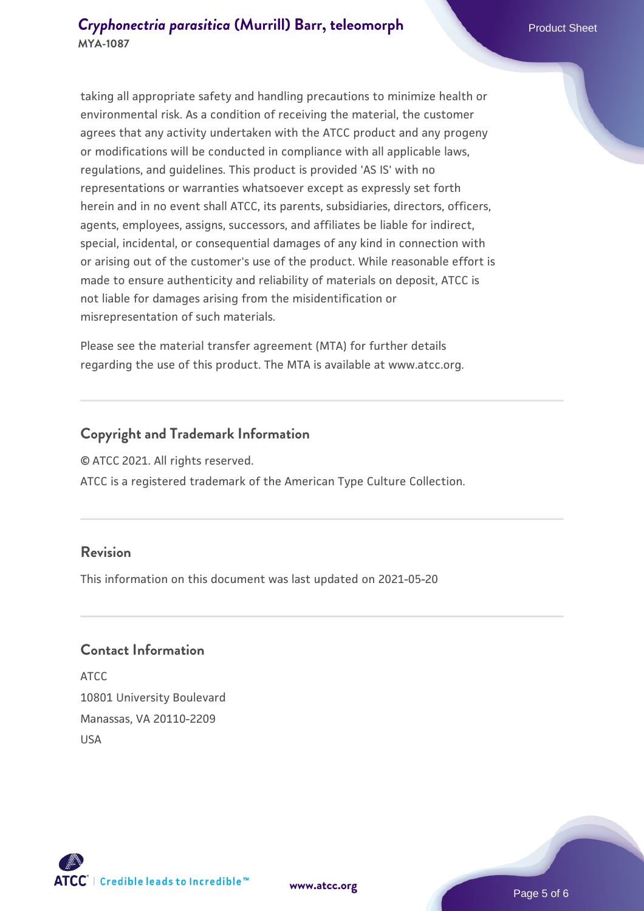taking all appropriate safety and handling precautions to minimize health or environmental risk. As a condition of receiving the material, the customer agrees that any activity undertaken with the ATCC product and any progeny or modifications will be conducted in compliance with all applicable laws, regulations, and guidelines. This product is provided 'AS IS' with no representations or warranties whatsoever except as expressly set forth herein and in no event shall ATCC, its parents, subsidiaries, directors, officers, agents, employees, assigns, successors, and affiliates be liable for indirect, special, incidental, or consequential damages of any kind in connection with or arising out of the customer's use of the product. While reasonable effort is made to ensure authenticity and reliability of materials on deposit, ATCC is not liable for damages arising from the misidentification or misrepresentation of such materials.

Please see the material transfer agreement (MTA) for further details regarding the use of this product. The MTA is available at www.atcc.org.

#### **Copyright and Trademark Information**

© ATCC 2021. All rights reserved.

ATCC is a registered trademark of the American Type Culture Collection.

#### **Revision**

This information on this document was last updated on 2021-05-20

#### **Contact Information**

ATCC 10801 University Boulevard Manassas, VA 20110-2209 USA